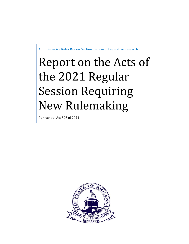Administrative Rules Review Section, Bureau of Legislative Research

# Report on the Acts of the 2021 Regular Session Requiring New Rulemaking

Pursuant to Act 595 of 2021

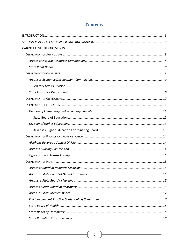# **Contents**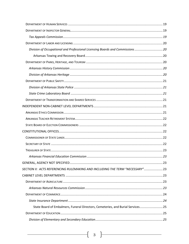| Division of Occupational and Professional Licensing Boards and Commissions 20   |  |
|---------------------------------------------------------------------------------|--|
|                                                                                 |  |
|                                                                                 |  |
|                                                                                 |  |
|                                                                                 |  |
|                                                                                 |  |
|                                                                                 |  |
|                                                                                 |  |
|                                                                                 |  |
|                                                                                 |  |
|                                                                                 |  |
|                                                                                 |  |
|                                                                                 |  |
|                                                                                 |  |
|                                                                                 |  |
|                                                                                 |  |
|                                                                                 |  |
|                                                                                 |  |
|                                                                                 |  |
| SECTION II: ACTS REFERENCING RULEMAKING AND INCLUDING THE TERM "NECESSARY" 23   |  |
|                                                                                 |  |
|                                                                                 |  |
|                                                                                 |  |
|                                                                                 |  |
|                                                                                 |  |
| State Board of Embalmers, Funeral Directors, Cemeteries, and Burial Services 25 |  |
|                                                                                 |  |
|                                                                                 |  |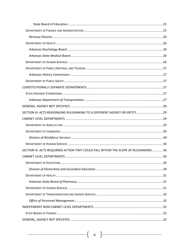| SECTION III: ACTS REASSINGING RULEMAKING TO A DIFFERENT AGENCY OR ENTITY 29         |  |
|-------------------------------------------------------------------------------------|--|
|                                                                                     |  |
|                                                                                     |  |
|                                                                                     |  |
|                                                                                     |  |
|                                                                                     |  |
| SECTION IV: ACTS REQUIRING ACTION THAT COULD FALL WITHIN THE SCOPE OF RULEMAKING 30 |  |
|                                                                                     |  |
|                                                                                     |  |
|                                                                                     |  |
|                                                                                     |  |
|                                                                                     |  |
|                                                                                     |  |
|                                                                                     |  |
|                                                                                     |  |
|                                                                                     |  |
|                                                                                     |  |
|                                                                                     |  |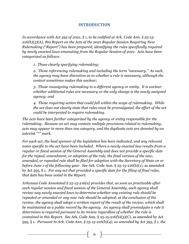# **INTRODUCTION**

<span id="page-5-0"></span>*In accordance with Act 595 of 2021, § 1, to be codified at Ark. Code Ann. § 25-15- 216(b)(3)(A), this Report on the Acts of the 2021 Regular Session Requiring New Rulemaking ("Report") has been prepared, identifying the rules specifically required by newly enacted laws emanating from the Regular Session of 2021. Acts have been categorized as follows:*

*1. Those clearly specifying rulemaking;*

*2. Those referencing rulemaking and including the term "necessary." As such, the agency may have discretion as to whether a rule is necessary, although the context sometimes makes this unclear;*

*3. Those reassigning rulemaking to a different agency or entity. It is unclear whether additional rules are necessary or the only change is the newly assigned agency; and*

*4. Those requiring action that could fall within the scope of rulemaking. While the act does not clearly state that rules must be promulgated, the effect of the act could be interpreted to require rulemaking.*

*The acts have been further categorized by the agency or entity responsible for the rulemaking. Because an act may contain multiple provisions related to rulemaking, acts may appear in more than one category, and the duplicate acts are denoted by an asterisk "\*" mark.*

*For each act, the lead sponsor of the legislation has been indicated, and any relevant notes specific to the act have been included. Where a newly enacted law results from a regular or fiscal session of the General Assembly and does not provide a specific date for the repeal, amendment, or adoption of the rule, the final version of the new, amended, or repealed rule shall be filed for adoption with the Secretary of State on or before June 1 of the following year. See* Ark. Code Ann. § 25-15-216(b)(1), as amended by Act 595, § 1. *For any act that provided a specific date for the filing of final rules, that date has been noted in the Report.*

*Arkansas Code Annotated § 25-15-216(a) provides that, as soon as practicable after each regular session and fiscal session of the General Assembly, each agency shall review any newly enacted laws to determine whether any existing rule should be repealed or amended or any new rule should be adopted; at the conclusion of the review, the agency shall adopt a written report of the result of the review, which shall be maintained as a public record by the agency. An agency shall promulgate a rule it determines is required pursuant to its review regardless of whether the rule is contained in this Report. See* Ark. Code Ann. § 25-15-216(b)(3)(C), as amended by Act 595, § 1. *Pursuant to Ark. Code Ann. § 25-15-216(b)(4), as amended by Act 595, § 1, the*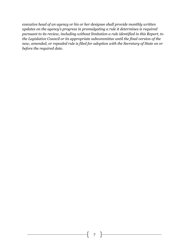*executive head of an agency or his or her designee shall provide monthly written updates on the agency's progress in promulgating a rule it determines is required pursuant to its review, including without limitation a rule identified in this Report, to the Legislative Council or its appropriate subcommittee until the final version of the new, amended, or repealed rule is filed for adoption with the Secretary of State on or before the required date.*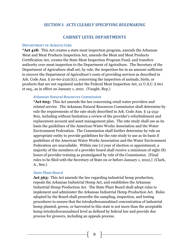## *SECTION I: ACTS CLEARLY SPECIFYING RULEMAKING*

## **CABINET LEVEL DEPARTMENTS**

#### <span id="page-7-2"></span><span id="page-7-1"></span><span id="page-7-0"></span>**DEPARTMENT OF AGRICULTURE**

**\*Act 418:** This Act creates a state meat inspection program, amends the Arkansas Meat and Meat Products Inspection Act, amends the Meat and Meat Products Certification Act, creates the State Meat Inspection Program Fund, and transfers authority over meat inspection to the Department of Agriculture. The Secretary of the Department of Agriculture shall set, by rule, the inspection fee in an amount sufficient to recover the Department of Agriculture's costs of providing services as described in Ark. Code Ann.  $\S 20-60-212(c)(1)$ , concerning the inspection of animals, birds, or products that are not regulated under the Federal Meat Inspection Act, 21 U.S.C. § 601 et seq., as in effect on January 1, 2021. (Vaught, Rep.)

#### <span id="page-7-3"></span>*Arkansas Natural Resources Commission*

**\*Act 605:** This Act amends the law concerning retail water providers and related service. The Arkansas Natural Resources Commission shall determine by rule the requirements of the rate study described in Ark. Code Ann. § 14-234- 802, including without limitation a review of the provider's refurbishment and replacement account and asset management plan. The rate study shall use as its basis the guidelines of the American Water Works Association and the Water Environment Federation. The Commission shall further determine by rule an appropriate entity to provide guidelines for the rate study to use as its basis if guidelines of the American Water Works Association and the Water Environment Federation are unavailable. Within one (1) year of election or appointment, a majority of the members of a provider board shall receive a minimum of eight (8) hours of provider training as promulgated by rule of the Commission. [Final rules to be filed with the Secretary of State on or before January 1, 2022.] (Clark, A., Sen.)

#### <span id="page-7-4"></span>*State Plant Board*

**Act 565:** This Act amends the law regarding industrial hemp production, repeals the Arkansas Industrial Hemp Act, and establishes the Arkansas Industrial Hemp Production Act. The State Plant Board shall adopt rules to implement and administer the Arkansas Industrial Hemp Production Act. Rules adopted by the Board shall prescribe the sampling, inspection, and testing procedures to ensure that the tetrahydrocannabinol concentration of industrial hemp planted, grown, or harvested in this state is not more than the acceptable hemp tetrahydrocannabinol level as defined by federal law and provide due process for growers, including an appeals process.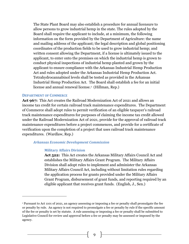The State Plant Board may also establish a procedure for annual licensure to allow persons to grow industrial hemp in the state. The rules adopted by the Board shall require the applicant to include, at a minimum, the following information on the form provided by the Department of Agriculture: the name and mailing address of the applicant; the legal description and global positioning coordinates of the production fields to be used to grow industrial hemp; and written consent allowing the Department, if a license is ultimately issued to the applicant, to enter onto the premises on which the industrial hemp is grown to conduct physical inspections of industrial hemp planted and grown by the applicant to ensure compliance with the Arkansas Industrial Hemp Production Act and rules adopted under the Arkansas Industrial Hemp Production Act. Tetrahydrocannabinol levels shall be tested as provided in the Arkansas Industrial Hemp Production Act. The Board shall establish a fee for an initial license and annual renewal license.<sup>1</sup> (Hillman, Rep.)

#### <span id="page-8-0"></span>**DEPARTMENT OF COMMERCE**

 $\overline{a}$ 

**Act 967:** This Act creates the Railroad Modernization Act of 2021 and allows an income tax credit for certain railroad track maintenance expenditures. The Department of Commerce shall adopt rules to permit verification of an eligible taxpayer's railroad track maintenance expenditures for purposes of claiming the income tax credit allowed under the Railroad Modernization Act of 2021, provide for the approval of railroad track maintenance expenditures before a project commences, and provide for a certificate of verification upon the completion of a project that uses railroad track maintenance expenditures. (Wardlaw, Rep.)

#### <span id="page-8-2"></span><span id="page-8-1"></span>*Arkansas Economic Development Commission*

#### **Military Affairs Division**

**Act 522:** This Act creates the Arkansas Military Affairs Council Act and establishes the Military Affairs Grant Program. The Military Affairs Division shall adopt rules to implement and administer the Arkansas Military Affairs Council Act, including without limitation rules regarding the application process for grants provided under the Military Affairs Grant Program, disbursement of grant funds, and reporting required by an eligible applicant that receives grant funds. (English, J., Sen.)

<sup>1</sup> Pursuant to Act 1101 of 2021, an agency assessing or imposing a fee or penalty shall promulgate the fee or penalty by rule. An agency is not required to promulgate a fee or penalty by rule if the specific amount of the fee or penalty is set by statute. A rule assessing or imposing a fee or penalty shall be submitted to Legislative Council for review and approval before a fee or penalty may be assessed or imposed by the agency.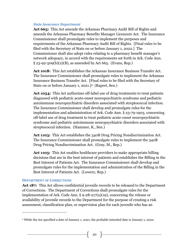#### <span id="page-9-0"></span>*State Insurance Department*

**Act 665:** This Act amends the Arkansas Pharmacy Audit Bill of Rights and amends the Arkansas Pharmacy Benefits Manager Licensure Act. The Insurance Commissioner shall promulgate rules to implement the purposes and requirements of the Arkansas Pharmacy Audit Bill of Rights. [Final rules to be filed with the Secretary of State on or before January 1, 2022.] The Commissioner shall also adopt rules relating to a pharmacy benefit manager's network adequacy, in accord with the requirements set forth in Ark. Code Ann.  $\S 23 - 92 - 509(b)(2)(B)$ , as amended by Act 665. (Evans, Rep.)

**Act 1018:** This Act establishes the Arkansas Insurance Business Transfer Act. The Insurance Commissioner shall promulgate rules to implement the Arkansas Insurance Business Transfer Act. [Final rules to be filed with the Secretary of State on or before January 1, 2021.<sup>[2</sup> (Rapert, Sen.)

**Act 1054:** This Act authorizes off-label use of drug treatments to treat patients diagnosed with pediatric acute-onset neuropsychiatric syndrome and pediatric autoimmune neuropsychiatric disorders associated with streptococcal infection. The Insurance Commissioner shall develop and promulgate rules for the implementation and administration of Ark. Code Ann. § 23-79-1903, concerning off-label use of drug treatment to treat pediatric acute-onset neuropsychiatric syndrome and pediatric autoimmune neuropsychiatric disorders associated with streptococcal infection. (Hammer, K., Sen.)

**Act 1103:** This Act establishes the 340B Drug Pricing Nondiscrimination Act. The Insurance Commissioner shall promulgate rules to implement the 340B Drug Pricing Nondiscrimination Act. (Gray, M., Rep.)

Act 1105: This Act enables healthcare providers to make appropriate billing decisions that are in the best interest of patients and establishes the Billing in the Best Interest of Patients Act. The Insurance Commissioner shall develop and promulgate rules for the implementation and administration of the Billing in the Best Interest of Patients Act. (Lowery, Rep.)

## <span id="page-9-1"></span>**DEPARTMENT OF CORRECTIONS**

 $\overline{a}$ 

**Act 187:** This Act allows confidential juvenile records to be released to the Department of Corrections. The Department of Corrections shall promulgate rules for the implementation of Ark. Code Ann. § 9-28-217(a)(19), concerning the release or availability of juvenile records to the Department for the purpose of creating a risk assessment, classification plan, or supervision plan for each juvenile who has an

<sup>2</sup> While the Act specified a date of January 1, 2021, the probable intended date is January 1, 2022.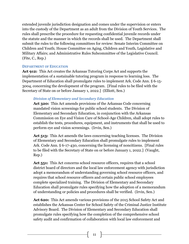extended juvenile jurisdiction designation and comes under the supervision or enters into the custody of the Department as an adult from the Division of Youth Services. The rules shall prescribe the procedure for requesting confidential juvenile records under the statute and the manner in which the records shall be used. The Department shall submit the rules to the following committees for review: Senate Interim Committee on Children and Youth; House Committee on Aging, Children and Youth, Legislative and Military Affairs; and Administrative Rules Subcommittee of the Legislative Council. (Fite, C., Rep.)

#### <span id="page-10-0"></span>**DEPARTMENT OF EDUCATION**

**Act 912:** This Act creates the Arkansas Tutoring Corps Act and supports the implementation of a sustainable tutoring program in response to learning loss. The Department of Education shall promulgate rules to implement Ark. Code Ann. § 6-15- 3004, concerning the development of the program. [Final rules to be filed with the Secretary of State on or before January 1, 2022.] (Elliott, Sen.)

## <span id="page-10-1"></span>*Division of Elementary and Secondary Education*

**Act 320:** This Act amends provisions of the Arkansas Code concerning mandated vision screenings for public school students. The Division of Elementary and Secondary Education, in conjunction with the Arkansas Commission on Eye and Vision Care of School-Age Children, shall adopt rules to establish the tests, procedures, equipment, and instruments that shall be used to perform eye and vision screenings. (Irvin, Sen.)

**Act 513:** This Act amends the laws concerning teaching licenses. The Division of Elementary and Secondary Education shall promulgate rules to implement Ark. Code Ann. § 6-17-430, concerning the licensing of noncitizens. [Final rules to be filed with the Secretary of State on or before January 1, 2022.] (Vaught, Rep.)

Act 551: This Act concerns school resource officers, requires that a school district board of directors and the local law enforcement agency with jurisdiction adopt a memorandum of understanding governing school resource officers, and requires that school resource officers and certain public school employees complete specialized training. The Division of Elementary and Secondary Education shall promulgate rules specifying how the adoption of a memorandum of understanding or policies and procedures shall be verified. (Irvin, Sen.)

**Act 620:** This Act amends various provisions of the 2015 School Safety Act and establishes the Arkansas Center for School Safety of the Criminal Justice Institute Advisory Board. The Division of Elementary and Secondary Education shall promulgate rules specifying how the completion of the comprehensive school safety audit and confirmation of collaboration with local law enforcement and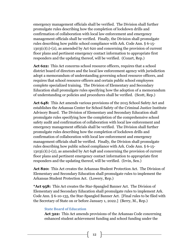emergency management officials shall be verified. The Division shall further promulgate rules describing how the completion of lockdown drills and confirmation of collaboration with local law enforcement and emergency management officials shall be verified. Finally, the Division shall promulgate rules describing how public school compliance with Ark. Code Ann. § 6-15- 1303(c)(1)-(2), as amended by Act 620 and concerning the provision of current floor plans and pertinent emergency contact information to appropriate first responders and the updating thereof, will be verified. (Cozart, Rep.)

**Act 622:** This Act concerns school resource officers, requires that a school district board of directors and the local law enforcement agency with jurisdiction adopt a memorandum of understanding governing school resource officers, and requires that school resource officers and certain public school employees complete specialized training. The Division of Elementary and Secondary Education shall promulgate rules specifying how the adoption of a memorandum of understanding or policies and procedures shall be verified. (Scott, Rep.)

**Act 648:** This Act amends various provisions of the 2015 School Safety Act and establishes the Arkansas Center for School Safety of the Criminal Justice Institute Advisory Board. The Division of Elementary and Secondary Education shall promulgate rules specifying how the completion of the comprehensive school safety audit and confirmation of collaboration with local law enforcement and emergency management officials shall be verified. The Division shall further promulgate rules describing how the completion of lockdown drills and confirmation of collaboration with local law enforcement and emergency management officials shall be verified. Finally, the Division shall promulgate rules describing how public school compliance with Ark. Code Ann. § 6-15-  $1303(c)(1)-(2)$ , as amended by Act 648 and concerning the provision of current floor plans and pertinent emergency contact information to appropriate first responders and the updating thereof, will be verified. (Irvin, Sen.)

**Act 820:** This Act creates the Arkansas Student Protection Act. The Division of Elementary and Secondary Education shall promulgate rules to implement the Arkansas Student Protection Act. (Lowery, Rep.)

**\*Act 958:** This Act creates the Star-Spangled Banner Act. The Division of Elementary and Secondary Education shall promulgate rules to implement Ark. Code Ann. § 6-10-135, the Star-Spangled Banner Act. [Final rules to be filed with the Secretary of State on or before January 1, 2022.] (Berry, M., Rep.)

#### <span id="page-11-0"></span>**State Board of Education**

**Act 322:** This Act amends provisions of the Arkansas Code concerning enhanced student achievement funding and school funding under the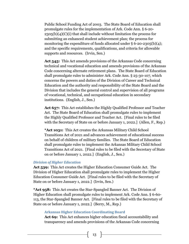Public School Funding Act of 2003. The State Board of Education shall promulgate rules for the implementation of Ark. Code Ann. § 6-20-  $2305(b)(4)(C)(i)$  that shall include without limitation the process for submitting an enhanced student achievement plan; the process for monitoring the expenditure of funds allocated under  $\S$  6-20-2305(b)(4); and the specific requirements, qualifications, and criteria for allowable supports and resources. (Irvin, Sen.)

**Act 545:** This Act amends provisions of the Arkansas Code concerning technical and vocational education and amends provisions of the Arkansas Code concerning alternate retirement plans. The State Board of Education shall promulgate rules to administer Ark. Code Ann. § 25-30-107, which concerns the powers and duties of the Division of Career and Technical Education and the authority and responsibility of the State Board and the Division that includes the general control and supervision of all programs of vocational, technical, and occupational education in secondary institutions. (English, J., Sen.)

**Act 657:** This Act establishes the Highly Qualified Professor and Teacher Act. The State Board of Education shall promulgate rules to implement the Highly Qualified Professor and Teacher Act. [Final rules to be filed with the Secretary of State on or before January 1, 2022.] (Allen, F., Rep.)

**\*Act 1031:** This Act creates the Arkansas Military Child School Transitions Act of 2021 and advances achievement of educational success on behalf of children of military families. The State Board of Education shall promulgate rules to implement the Arkansas Military Child School Transitions Act of 2021. [Final rules to be filed with the Secretary of State on or before January 1, 2022.] (English, J., Sen.)

#### <span id="page-12-0"></span>*Division of Higher Education*

**Act 539:** This Act creates the Higher Education Consumer Guide Act. The Division of Higher Education shall promulgate rules to implement the Higher Education Consumer Guide Act. [Final rules to be filed with the Secretary of State on or before January 1, 2022.] (Irvin, Sen.)

**\*Act 958:** This Act creates the Star-Spangled Banner Act. The Division of Higher Education shall promulgate rules to implement Ark. Code Ann. § 6-60- 113, the Star-Spangled Banner Act. [Final rules to be filed with the Secretary of State on or before January 1, 2022.] (Berry, M., Rep.)

#### <span id="page-12-1"></span>**Arkansas Higher Education Coordinating Board**

**Act 69:** This Act enhances higher education fiscal accountability and transparency and amends provisions of the Arkansas Code concerning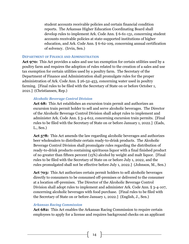student accounts receivable policies and certain financial condition reports. The Arkansas Higher Education Coordinating Board shall develop rules to implement Ark. Code Ann. § 6-61-131, concerning student accounts receivable policies at state-supported institutions of higher education, and Ark. Code Ann. § 6-62-109, concerning annual certification of solvency. (Irvin, Sen.)

#### <span id="page-13-0"></span>**DEPARTMENT OF FINANCE AND ADMINISTRATION**

**Act 970:** This Act provides a sales and use tax exemption for certain utilities used by a poultry farm and requires the adoption of rules related to the creation of a sales and use tax exemption for certain utilities used by a poultry farm. The Secretary of the Department of Finance and Administration shall promulgate rules for the proper administration of Ark. Code Ann. § 26-52-453, concerning water used in poultry farming. [Final rules to be filed with the Secretary of State on or before October 1, 2021.] (Christiansen, Rep.)

#### <span id="page-13-1"></span>*Alcoholic Beverage Control Division*

**Act 68:** This Act establishes an excursion train permit and authorizes an excursion train permit holder to sell and serve alcoholic beverages. The Director of the Alcoholic Beverage Control Division shall adopt rules to implement and administer Ark. Code Ann. § 3-4-612, concerning excursion train permits. [Final rules to be filed with the Secretary of State on or before January 1, 2022.] (Eads, L., Sen.)

**Act 578:** This Act amends the law regarding alcoholic beverages and authorizes beer wholesalers to distribute certain ready-to-drink products. The Alcoholic Beverage Control Division shall promulgate rules regarding the distribution of ready-to-drink products containing spirituous liquor with a final finished product of no greater than fifteen percent (15%) alcohol by weight and malt liquor. [Final rules to be filed with the Secretary of State on or before July 1, 2022, and the rules promulgated shall not be effective before July 1, 2022.] (Johnson, M., Sen.)

Act 703: This Act authorizes certain permit holders to sell alcoholic beverages directly to consumers to be consumed off-premises or delivered to the consumer at a location off-premises. The Director of the Alcoholic Beverage Control Division shall adopt rules to implement and administer Ark. Code Ann. § 3-4-107, concerning alcoholic beverages with food purchase. [Final rules to be filed with the Secretary of State on or before January 1, 2022.] (English, J., Sen.)

#### <span id="page-13-2"></span>*Arkansas Racing Commission*

**Act 682:** This Act enables the Arkansas Racing Commission to require certain employees to apply for a license and requires background checks on an applicant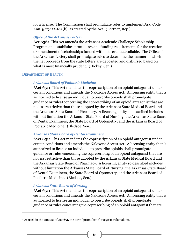for a license. The Commission shall promulgate rules to implement Ark. Code Ann. § 23-117-102(b), as created by the Act. (Fortner, Rep.)

## <span id="page-14-0"></span>*Office of the Arkansas Lottery*

**Act 636:** This Act amends the Arkansas Academic Challenge Scholarship Program and establishes procedures and funding requirements for the creation or amendment of scholarships funded with net revenue available. The Office of the Arkansas Lottery shall promulgate rules to determine the manner in which the net proceeds from the state lottery are deposited and disbursed based on what is most financially prudent. (Hickey, Sen.)

#### <span id="page-14-2"></span><span id="page-14-1"></span>**DEPARTMENT OF HEALTH**

## *Arkansas Board of Podiatric Medicine*

**\*Act 651:** This Act mandates the coprescription of an opioid antagonist under certain conditions and amends the Naloxone Access Act. A licensing entity that is authorized to license an individual to prescribe opioids shall promulgate guidance or rules<sup>3</sup> concerning the coprescribing of an opioid antagonist that are no less restrictive than those adopted by the Arkansas State Medical Board and the Arkansas State Board of Pharmacy. A licensing entity so described includes without limitation the Arkansas State Board of Nursing, the Arkansas State Board of Dental Examiners, the State Board of Optometry, and the Arkansas Board of Podiatric Medicine. (Bledsoe, Sen.)

## <span id="page-14-3"></span>*Arkansas State Board of Dental Examiners*

**\*Act 651:** This Act mandates the coprescription of an opioid antagonist under certain conditions and amends the Naloxone Access Act. A licensing entity that is authorized to license an individual to prescribe opioids shall promulgate guidance or rules concerning the coprescribing of an opioid antagonist that are no less restrictive than those adopted by the Arkansas State Medical Board and the Arkansas State Board of Pharmacy. A licensing entity so described includes without limitation the Arkansas State Board of Nursing, the Arkansas State Board of Dental Examiners, the State Board of Optometry, and the Arkansas Board of Podiatric Medicine. (Bledsoe, Sen.)

## <span id="page-14-4"></span>*Arkansas State Board of Nursing*

 $\overline{a}$ 

**\*Act 651:** This Act mandates the coprescription of an opioid antagonist under certain conditions and amends the Naloxone Access Act. A licensing entity that is authorized to license an individual to prescribe opioids shall promulgate guidance or rules concerning the coprescribing of an opioid antagonist that are

<sup>3</sup> As used in the context of Act 651, the term "promulgate" suggests rulemaking.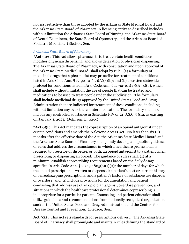no less restrictive than those adopted by the Arkansas State Medical Board and the Arkansas State Board of Pharmacy. A licensing entity so described includes without limitation the Arkansas State Board of Nursing, the Arkansas State Board of Dental Examiners, the State Board of Optometry, and the Arkansas Board of Podiatric Medicine. (Bledsoe, Sen.)

#### <span id="page-15-0"></span>*Arkansas State Board of Pharmacy*

**\*Act 503:** This Act allows pharmacists to treat certain health conditions, modifies physician dispensing, and allows delegation of physician dispensing. The Arkansas State Board of Pharmacy, with consultation and upon approval of the Arkansas State Medical Board, shall adopt by rule: (a) a formulary of medicinal drugs that a pharmacist may prescribe for treatment of conditions listed in Ark. Code Ann.  $\S 17-92-101(17)(A)(x)(b)$ ; and (b) a written statewide protocol for conditions listed in Ark. Code Ann.  $\S 17-92-101(17)(A)(x)(b)$ , which shall include without limitation the age of people that can be treated and medications to be used to treat people under the subdivision. The formulary shall include medicinal drugs approved by the United States Food and Drug Administration that are indicated for treatment of these conditions, including without limitation any over-the-counter medication. The formulary shall not include any controlled substance in Schedule I-IV or 21 U.S.C. § 812, as existing on January 1, 2021. (Johnson, L., Rep.)

**\*Act 651:** This Act mandates the coprescription of an opioid antagonist under certain conditions and amends the Naloxone Access Act. No later than six (6) months after the effective date of the Act, the Arkansas State Medical Board and the Arkansas State Board of Pharmacy shall jointly develop and publish guidance or rules that address the circumstances in which a healthcare professional is required to prescribe or dispense, or both, an opioid antagonist to a patient when prescribing or dispensing an opioid. The guidance or rules shall: (1) at a minimum, establish coprescribing requirements based on the daily dosage specified in Ark. Code Ann.  $\S 20-13-1805(b)(1)(A)$ ; the number of days for which the opioid prescription is written or dispensed; a patient's past or current history of benzodiazepine prescriptions; and a patient's history of substance use disorder or overdose; and (2) include provisions for documentation and patient counseling that address use of an opioid antagonist, overdose prevention, and situations in which the healthcare professional determines coprescribing is inappropriate for a particular patient. Counseling and patient education shall utilize guidelines and recommendations from nationally recognized organizations such as the United States Food and Drug Administration and the Centers for Disease Control and Prevention. (Bledsoe, Sen.)

**Act 922:** This Act sets standards for prescriptions delivery. The Arkansas State Board of Pharmacy shall promulgate and maintain rules defining the standard of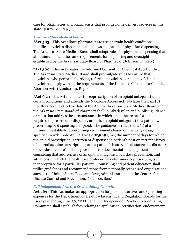care for pharmacies and pharmacists that provide home delivery services in this state. (Gray, M., Rep.)

## <span id="page-16-0"></span>*Arkansas State Medical Board*

**\*Act 503:** This Act allows pharmacists to treat certain health conditions, modifies physician dispensing, and allows delegation of physician dispensing. The Arkansas State Medical Board shall adopt rules for physician dispensing that, at minimum, meet the same requirements for dispensing and oversight established by the Arkansas State Board of Pharmacy. (Johnson, L., Rep.)

**\*Act 560:** This Act creates the Informed Consent for Chemical Abortion Act. The Arkansas State Medical Board shall promulgate rules to ensure that physicians who perform abortions, referring physicians, or agents of either physician comply with all the requirements of the Informed Consent for Chemical Abortion Act. (Lundstrum, Rep.)

**\*Act 651:** This Act mandates the coprescription of an opioid antagonist under certain conditions and amends the Naloxone Access Act. No later than six (6) months after the effective date of the Act, the Arkansas State Medical Board and the Arkansas State Board of Pharmacy shall jointly develop and publish guidance or rules that address the circumstances in which a healthcare professional is required to prescribe or dispense, or both, an opioid antagonist to a patient when prescribing or dispensing an opioid. The guidance or rules shall: (1) at a minimum, establish coprescribing requirements based on the daily dosage specified in Ark. Code Ann. § 20-13-1805(b)(1)(A); the number of days for which the opioid prescription is written or dispensed; a patient's past or current history of benzodiazepine prescriptions; and a patient's history of substance use disorder or overdose; and (2) include provisions for documentation and patient counseling that address use of an opioid antagonist, overdose prevention, and situations in which the healthcare professional determines coprescribing is inappropriate for a particular patient. Counseling and patient education shall utilize guidelines and recommendations from nationally recognized organizations such as the United States Food and Drug Administration and the Centers for Disease Control and Prevention. (Bledsoe, Sen.)

## <span id="page-16-1"></span>*Full Independent Practice Credentialing Committee*

**Act 769:** This Act makes an appropriation for personal services and operating expenses for the Department of Health – Licensing and Regulation Boards for the fiscal year ending June 30, 2022. The Full Independent Practice Credentialing Committee shall establish fees relating to application, certification, endorsement,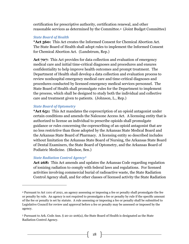certification for prescriptive authority, certification renewal, and other reasonable services as determined by the Committee.4 (Joint Budget Committee)

#### <span id="page-17-0"></span>*State Board of Health*

**\*Act 560:** This Act creates the Informed Consent for Chemical Abortion Act. The State Board of Health shall adopt rules to implement the Informed Consent for Chemical Abortion Act. (Lundstrum, Rep.)

Act 707: This Act provides for data collection and evaluation of emergency medical care and initial time-critical diagnoses and procedures and ensures confidentiality to help improve health outcomes and prompt treatment. The Department of Health shall develop a data collection and evaluation process to review nonhospital emergency medical care and time-critical diagnoses and procedures conducted by licensed emergency medical services personnel. The State Board of Health shall promulgate rules for the Department to implement the process, which shall be designed to study both the individual and collective care and treatment given to patients. (Johnson, L., Rep.)

#### <span id="page-17-1"></span>*State Board of Optometry*

**\*Act 651:** This Act mandates the coprescription of an opioid antagonist under certain conditions and amends the Naloxone Access Act. A licensing entity that is authorized to license an individual to prescribe opioids shall promulgate guidance or rules concerning the coprescribing of an opioid antagonist that are no less restrictive than those adopted by the Arkansas State Medical Board and the Arkansas State Board of Pharmacy. A licensing entity so described includes without limitation the Arkansas State Board of Nursing, the Arkansas State Board of Dental Examiners, the State Board of Optometry, and the Arkansas Board of Podiatric Medicine. (Bledsoe, Sen.)

#### <span id="page-17-2"></span>*State Radiation Control Agency<sup>5</sup>*

 $\overline{a}$ 

**Act 268:** This Act amends and updates the Arkansas Code regarding regulation of ionizing radiation to comply with federal laws and regulations. For licensed activities involving commercial burial of radioactive waste, the State Radiation Control Agency shall, and for other classes of licensed activity the State Radiation

<sup>4</sup> Pursuant to Act 1101 of 2021, an agency assessing or imposing a fee or penalty shall promulgate the fee or penalty by rule. An agency is not required to promulgate a fee or penalty by rule if the specific amount of the fee or penalty is set by statute. A rule assessing or imposing a fee or penalty shall be submitted to Legislative Council for review and approval before a fee or penalty may be assessed or imposed by the agency.

<sup>5</sup> Pursuant to Ark. Code Ann. § 20-21-206(a), the State Board of Health is designated as the State Radiation Control Agency.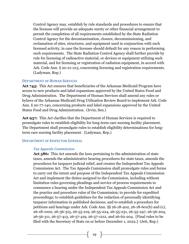Control Agency may, establish by rule standards and procedures to ensure that the licensee will provide an adequate surety or other financial arrangement to permit the completion of all requirements established by the State Radiation Control Agency for the decontamination, closure, decommissioning, and reclamation of sites, structures, and equipment used in conjunction with such licensed activity, in case the licensee should default for any reason in performing such requirements. The State Radiation Control Agency shall further provide by rule for licensing of radioactive material, or devices or equipment utilizing such material, and for licensing or registration of radiation equipment, in accord with Ark. Code Ann. § 20-21-213, concerning licensing and registration requirements. (Ladyman, Rep.)

#### <span id="page-18-0"></span>**DEPARTMENT OF HUMAN SERVICES**

**Act 745:** This Act ensures that beneficiaries of the Arkansas Medicaid Program have access to new products and label expansions approved by the United States Food and Drug Administration. The Department of Human Services shall amend any rules or bylaws of the Arkansas Medicaid Drug Utilization Review Board to implement Ark. Code Ann. § 20-77-140, concerning products and label expansions approved by the United States Food and Drug Administration. (Irvin, Sen.)

**Act 937:** This Act clarifies that the Department of Human Services is required to promulgate rules to establish eligibility for long-term care nursing facility placement. The Department shall promulgate rules to establish eligibility determinations for longterm care nursing facility placement. (Ladyman, Rep.)

#### <span id="page-18-2"></span><span id="page-18-1"></span>**DEPARTMENT OF INSPECTOR GENERAL**

#### *Tax Appeals Commission*

**Act 586:** This Act amends the laws pertaining to the administration of state taxes, amends the administrative hearing procedures for state taxes, amends the procedures for taxpayer judicial relief, and creates the Independent Tax Appeals Commission Act. The Tax Appeals Commission shall promulgate rules and forms to carry out the intent and purpose of the Independent Tax Appeals Commission Act and implement the duties assigned to the Commission, including without limitation rules governing pleadings and service of process requirements to commence a hearing under the Independent Tax Appeals Commission Act and the practice and procedure rules of the Commission; to provide for expedited proceedings; to establish guidelines for the redaction of personally identifying taxpayer information in published decisions; and to establish a procedure for petitions and hearings under Ark. Code Ann. §§ 26-18-402, 26-18-601(b) and (c), 26-18-1002, 26-36-315, 26-55-219, 26-55-224, 26-55-231, 26-55-247, 26-56-204, 26-56-311, 26-57-413, 26-57-419, 26-57-1212, and 26-62-204. [Final rules to be filed with the Secretary of State on or before December 1, 2022.] (Jett, Rep.)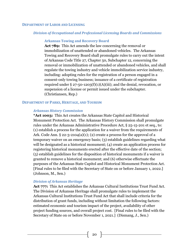#### <span id="page-19-1"></span><span id="page-19-0"></span>**DEPARTMENT OF LABOR AND LICENSING**

#### <span id="page-19-2"></span>*Division of Occupational and Professional Licensing Boards and Commissions*

#### **Arkansas Towing and Recovery Board**

**Act 789:** This Act amends the law concerning the removal or immobilization of unattended or abandoned vehicles. The Arkansas Towing and Recovery Board shall promulgate rules to carry out the intent of Arkansas Code Title 27, Chapter 50, Subchapter 12, concerning the removal or immobilization of unattended or abandoned vehicles, and shall regulate the towing industry and vehicle immobilization service industry, including: adopting rules for the registration of a person engaged in a consent-only towing business; issuance of a certificate of registration required under  $\S 27$ -50-1203(f)(1)(A)(iii); and the denial, revocation, or suspension of a license or permit issued under the subchapter. (Christiansen, Rep.)

#### <span id="page-19-4"></span><span id="page-19-3"></span>**DEPARTMENT OF PARKS, HERITAGE, AND TOURISM**

#### *Arkansas History Commission*

**\*Act 1003:** This Act creates the Arkansas State Capitol and Historical Monument Protection Act. The Arkansas History Commission shall promulgate rules under the Arkansas Administrative Procedure Act, § 25-15-201 et seq., to: (1) establish a process for the application for a waiver from the requirements of Ark. Code Ann.  $\S 22-3-2104(a)(1)$ ; (2) create a process for the approval of a temporary waiver on an emergency basis; (3) establish guidelines regarding what will be designated as a historical monument; (4) create an application process for registering historical monuments erected after the effective date of the section; (5) establish guidelines for the disposition of historical monuments if a waiver is granted to remove a historical monument; and (6) otherwise effectuate the purposes of the Arkansas State Capitol and Historical Monument Protection Act. [Final rules to be filed with the Secretary of State on or before January 1, 2022.] (Johnson, M., Sen.)

#### <span id="page-19-5"></span>*Division of Arkansas Heritage*

**Act 777:** This Act establishes the Arkansas Cultural Institutions Trust Fund Act. The Division of Arkansas Heritage shall promulgate rules to implement the Arkansas Cultural Institutions Trust Fund Act that shall include criteria for the distribution of grant funds, including without limitation the following factors: estimated economic and tourism impact of the project, availability of other project funding sources, and overall project cost. [Final rules to be filed with the Secretary of State on or before November 1, 2021.] (Dismang, J., Sen.)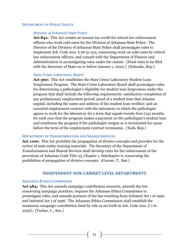#### <span id="page-20-1"></span><span id="page-20-0"></span>**DEPARTMENT OF PUBLIC SAFETY**

#### *Division of Arkansas State Police*

**Act 841:** This Act creates an income tax credit for retired law enforcement officers who work cold cases for the Division of Arkansas State Police. The Director of the Division of Arkansas State Police shall promulgate rules to implement Ark. Code Ann. § 26-51-515, concerning work on cold cases by retired law enforcement officers, and consult with the Department of Finance and Administration in promulgating rules under the statute. [Final rules to be filed with the Secretary of State on or before January 1, 2022.] (Eubanks, Rep.)

#### <span id="page-20-2"></span>*State Crime Laboratory Board*

**Act 360:** This Act establishes the State Crime Laboratory Student Loan Forgiveness Program. The State Crime Laboratory Board shall promulgate rules for determining a pathologist's eligibility for student loan forgiveness under the program that shall include the following requirements: satisfactory completion of any probationary employment period; proof of a student loan that remains unpaid, including the name and address of the student loan creditor; and an executed employment contract with the laboratory in which the pathologist agrees to work for the laboratory for a term that equals twenty-four (24) months for each year that the program makes a payment on the pathologist's student loan and reimburse the program if the pathologist resigns or is terminated for cause before the term of the employment contract terminates. (Tosh, Rep.)

#### <span id="page-20-3"></span>**DEPARTMENT OF TRANSFORMATION AND SHARED SERVICES**

**Act 1100:** This Act prohibits the propagation of divisive concepts and provides for the review of state entity training materials. The Secretary of the Department of Transformation and Shared Services shall develop rules for the enforcement of the provisions of Arkansas Code Title 25, Chapter 1, Subchapter 6, concerning the prohibition of propagation of divisive concepts. (Garner, T., Sen.)

## **INDEPENDENT NON-CABINET LEVEL DEPARTMENTS**

#### <span id="page-20-5"></span><span id="page-20-4"></span>**ARKANSAS ETHICS COMMISSION**

**Act 384:** This Act amends campaign contribution amounts, amends the law concerning campaign practices, requires the Arkansas Ethics Commission to promulgate rules, and amends portions of the law resulting from Initiated Act 1 of 1990 and Initiated Act 1 of 1996. The Arkansas Ethics Commission shall establish the maximum campaign contribution limit by rule as set forth in Ark. Code Ann. § 7-6- 203(i). (Tucker, C., Sen.)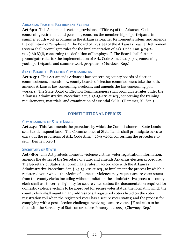#### <span id="page-21-0"></span>**ARKANSAS TEACHER RETIREMENT SYSTEM**

**Act 691:** This Act amends certain provisions of Title 24 of the Arkansas Code concerning retirement and pensions, concerns the membership of participants in summer youth work programs in the Arkansas Teacher Retirement System, and amends the definition of "employee." The Board of Trustees of the Arkansas Teacher Retirement System shall promulgate rules for the implementation of Ark. Code Ann. § 24-7- 202(16)(B)(i), concerning the definition of "employee." The Board shall further promulgate rules for the implementation of Ark. Code Ann. § 24-7-507, concerning youth participants and summer work programs. (Murdock, Rep.)

#### <span id="page-21-1"></span>**STATE BOARD OF ELECTION COMMISSIONERS**

**Act 1051:** This Act amends Arkansas law concerning county boards of election commissioners, amends how county boards of election commissioners take the oath, amends Arkansas law concerning elections, and amends the law concerning poll workers. The State Board of Election Commissioners shall promulgate rules under the Arkansas Administrative Procedure Act, § 25-15-201 et seq., concerning the training requirements, materials, and examination of essential skills. (Hammer, K., Sen.)

## **CONSTITUTIONAL OFFICES**

#### <span id="page-21-3"></span><span id="page-21-2"></span>**COMMISSIONER OF STATE LANDS**

**Act 447:** This Act amends the procedure by which the Commissioner of State Lands sells tax-delinquent land. The Commissioner of State Lands shall promulgate rules to carry out the provisions of Ark. Code Ann. § 26-37-202, concerning the procedure to sell. (Bentley, Rep.)

#### <span id="page-21-4"></span>**SECRETARY OF STATE**

**Act 980:** This Act protects domestic violence victims' voter registration information, amends the duties of the Secretary of State, and amends Arkansas election procedure. The Secretary of State shall promulgate rules in accordance with the Arkansas Administrative Procedure Act, § 25-15-201 et seq., to implement the process by which a registered voter who is the victim of domestic violence may request secure voter status from the county clerks including without limitation the administrative process a county clerk shall use to verify eligibility for secure voter status; the documentation required for domestic violence victims to be approved for secure voter status; the format in which the county clerk shall maintain any address of all registered voters listed on the voter registration roll when the registered voter has a secure voter status; and the process for complying with a post-election challenge involving a secure voter. [Final rules to be filed with the Secretary of State on or before January 1, 2022.] (Clowney, Rep.)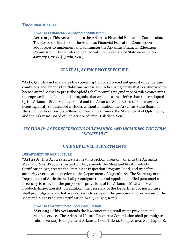#### <span id="page-22-1"></span><span id="page-22-0"></span>**TREASURER OF STATE**

#### *Arkansas Financial Education Commission*

**Act 1025:** This Act establishes the Arkansas Financial Education Commission. The Board of Directors of the Arkansas Financial Education Commission shall adopt rules to implement and administer the Arkansas Financial Education Commission. [Final rules to be filed with the Secretary of State on or before January 1, 2022.] (Irvin, Sen.)

# **GENERAL, AGENCY NOT SPECIFIED**

<span id="page-22-2"></span>**\*Act 651:** This Act mandates the coprescription of an opioid antagonist under certain conditions and amends the Naloxone Access Act. A licensing entity that is authorized to license an individual to prescribe opioids shall promulgate guidance or rules concerning the coprescribing of an opioid antagonist that are no less restrictive than those adopted by the Arkansas State Medical Board and the Arkansas State Board of Pharmacy. A licensing entity so described includes without limitation the Arkansas State Board of Nursing, the Arkansas State Board of Dental Examiners, the State Board of Optometry, and the Arkansas Board of Podiatric Medicine. (Bledsoe, Sen.)

# <span id="page-22-4"></span><span id="page-22-3"></span>*SECTION II: ACTS REFERENCING RULEMAKING AND INCLUDING THE TERM "NECESSARY"*

## **CABINET LEVEL DEPARTMENTS**

#### <span id="page-22-5"></span>**DEPARTMENT OF AGRICULTURE**

**\*Act 418:** This Act creates a state meat inspection program, amends the Arkansas Meat and Meat Products Inspection Act, amends the Meat and Meat Products Certification Act, creates the State Meat Inspection Program Fund, and transfers authority over meat inspection to the Department of Agriculture. The Secretary of the Department of Agriculture shall promulgate rules and appoint qualified personnel as necessary to carry out the purposes or provisions of the Arkansas Meat and Meat Products Inspection Act. In addition, the Secretary of the Department of Agriculture shall promulgate rules that are necessary to carry out the purposes and provisions of the Meat and Meat Products Certification Act. (Vaught, Rep.)

#### <span id="page-22-6"></span>*Arkansas Natural Resources Commission*

**\*Act 605:** This Act amends the law concerning retail water providers and related service. The Arkansas Natural Resources Commission shall promulgate rules necessary to implement Arkansas Code Title 14, Chapter 234, Subchapter 8,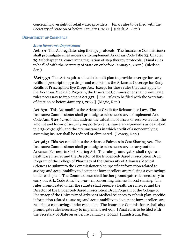concerning oversight of retail water providers. [Final rules to be filed with the Secretary of State on or before January 1, 2022.] (Clark, A., Sen.)

#### <span id="page-23-1"></span><span id="page-23-0"></span>**DEPARTMENT OF COMMERCE**

#### *State Insurance Department*

**Act 97:** This Act regulates step therapy protocols. The Insurance Commissioner shall promulgate rules necessary to implement Arkansas Code Title 23, Chapter 79, Subchapter 21, concerning regulation of step therapy protocols. [Final rules to be filed with the Secretary of State on or before January 1, 2022.] (Bledsoe, Sen.)

**\*Act 357:** This Act requires a health benefit plan to provide coverage for early refills of prescription eye drops and establishes the Arkansas Coverage for Early Refills of Prescription Eye Drops Act. Except for those rules that may apply to the Arkansas Medicaid Program, the Insurance Commissioner shall promulgate rules necessary to implement Act 357. [Final rules to be filed with the Secretary of State on or before January 1, 2022.] (Magie, Rep.)

**Act 672:** This Act modifies the Arkansas Credit for Reinsurance Law. The Insurance Commissioner shall promulgate rules necessary to implement Ark. Code Ann. § 23-62-306 that address the valuation of assets or reserve credits, the amount and forms of security supporting reinsurance arrangements as described in § 23-62-308(b), and the circumstances in which credit of a noncomplying assuming insurer shall be reduced or eliminated. (Lowery, Rep.)

**Act 965:** This Act establishes the Arkansas Fairness in Cost Sharing Act. The Insurance Commissioner shall promulgate rules necessary to carry out the Arkansas Fairness in Cost Sharing Act. The rules promulgated shall require a healthcare insurer and the Director of the Evidenced-Based Prescription Drug Program of the College of Pharmacy of the University of Arkansas Medical Sciences to submit to the Commissioner plan-specific information related to savings and accountability to document how enrollees are realizing a cost savings under each plan. The Commissioner shall further promulgate rules necessary to carry out Ark. Code Ann. § 23-92-511, concerning fairness in cost sharing. The rules promulgated under the statute shall require a healthcare insurer and the Director of the Evidenced-Based Prescription Drug Program of the College of Pharmacy of the University of Arkansas Medical Sciences to submit plan-specific information related to savings and accountability to document how enrollees are realizing a cost savings under each plan. The Insurance Commissioner shall also promulgate rules necessary to implement Act 965. [Final rules to be filed with the Secretary of State on or before January 1, 2022.] (Lundstrum, Rep.)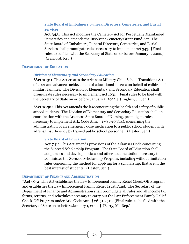## <span id="page-24-0"></span>**State Board of Embalmers, Funeral Directors, Cemeteries, and Burial Services**

**Act 343:** This Act modifies the Cemetery Act for Perpetually Maintained Cemeteries and amends the Insolvent Cemetery Grant Fund Act. The State Board of Embalmers, Funeral Directors, Cemeteries, and Burial Services shall promulgate rules necessary to implement Act 343. [Final rules to be filed with the Secretary of State on or before January 1, 2022.] (Crawford, Rep.)

#### <span id="page-24-2"></span><span id="page-24-1"></span>**DEPARTMENT OF EDUCATION**

#### *Division of Elementary and Secondary Education*

**\*Act 1031:** This Act creates the Arkansas Military Child School Transitions Act of 2021 and advances achievement of educational success on behalf of children of military families. The Division of Elementary and Secondary Education shall promulgate rules necessary to implement Act 1031. [Final rules to be filed with the Secretary of State on or before January 1, 2022.] (English, J., Sen.)

**\*Act 1050:** This Act amends the law concerning the health and safety of public school students. The Division of Elementary and Secondary Education shall, in coordination with the Arkansas State Board of Nursing, promulgate rules necessary to implement Ark. Code Ann. § 17-87-103(14), concerning the administration of an emergency dose medication to a public school student with adrenal insufficiency by trained public school personnel. (Hester, Sen.)

#### <span id="page-24-3"></span>**State Board of Education**

**Act 741:** This Act amends provisions of the Arkansas Code concerning the Succeed Scholarship Program. The State Board of Education shall adopt rules and develop notices and other documentation necessary to administer the Succeed Scholarship Program, including without limitation rules concerning the method for applying for a scholarship, that are in the best interest of students. (Hester, Sen.)

#### <span id="page-24-4"></span>**DEPARTMENT OF FINANCE AND ADMINISTRATION**

**\*Act 765:** This Act establishes the Law Enforcement Family Relief Check-Off Program and establishes the Law Enforcement Family Relief Trust Fund. The Secretary of the Department of Finance and Administration shall promulgate all rules and all income tax forms, returns, and schedules necessary to carry out the Law Enforcement Family Relief Check-Off Program under Ark. Code Ann. § 26-51-2511. [Final rules to be filed with the Secretary of State on or before January 1, 2022.] (Berry, M., Rep.)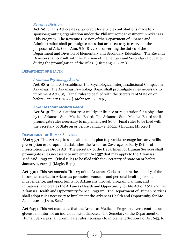## <span id="page-25-0"></span>*Revenue Division*

**Act 904:** This Act creates a tax credit for eligible contributions made to a sponsor-granting organization under the Philanthropic Investment in Arkansas Kids Program. The Revenue Division of the Department of Finance and Administration shall promulgate rules that are necessary to carry out the purposes of Ark. Code Ann. § 6-18-2207, concerning the duties of the Department and Division of Elementary and Secondary Education. The Revenue Division shall consult with the Division of Elementary and Secondary Education during the promulgation of the rules. (Dismang, J., Sen.)

## <span id="page-25-2"></span><span id="page-25-1"></span>**DEPARTMENT OF HEALTH**

## *Arkansas Psychology Board*

**Act 883:** This Act establishes the Psychological Interjurisdictional Compact in Arkansas. The Arkansas Psychology Board shall promulgate rules necessary to implement Act 883. [Final rules to be filed with the Secretary of State on or before January 1, 2022.] (Johnson, L., Rep.)

## <span id="page-25-3"></span>*Arkansas State Medical Board*

**Act 803:** This Act authorizes a multiyear license or registration for a physician by the Arkansas State Medical Board. The Arkansas State Medical Board shall promulgate rules necessary to implement Act 803. [Final rules to be filed with the Secretary of State on or before January 1, 2022.] (Hodges, M., Rep.)

## <span id="page-25-4"></span>**DEPARTMENT OF HUMAN SERVICES**

**\*Act 357:** This Act requires a health benefit plan to provide coverage for early refills of prescription eye drops and establishes the Arkansas Coverage for Early Refills of Prescription Eye Drops Act. The Secretary of the Department of Human Services shall promulgate rules necessary to implement Act 357 that may apply to the Arkansas Medicaid Program. [Final rules to be filed with the Secretary of State on or before January 1, 2022.] (Magie, Rep.)

**Act 530:** This Act amends Title 23 of the Arkansas Code to ensure the stability of the insurance market in Arkansas; promotes economic and personal health, personal independence, and opportunity for Arkansans through program planning and initiatives; and creates the Arkansas Health and Opportunity for Me Act of 2021 and the Arkansas Health and Opportunity for Me Program. The Department of Human Services shall adopt rules necessary to implement the Arkansas Health and Opportunity for Me Act of 2021. (Irvin, Sen.)

**Act 643:** This Act mandates that the Arkansas Medicaid Program cover a continuous glucose monitor for an individual with diabetes. The Secretary of the Department of Human Services shall promulgate rules necessary to implement Section 1 of Act 643, to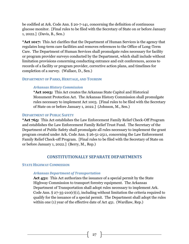be codified at Ark. Code Ann. § 20-7-141, concerning the definition of continuous glucose monitor. [Final rules to be filed with the Secretary of State on or before January 1, 2022.] (Davis, B., Sen.)

**\*Act 1017:** This Act clarifies that the Department of Human Services is the agency that regulates long-term care facilities and removes references to the Office of Long-Term Care. The Department of Human Services shall promulgate rules necessary for facility or program provider surveys conducted by the Department, which shall include without limitation provisions concerning conducting entrance and exit conferences, access to records of a facility or program provider, corrective action plans, and timelines for completion of a survey. (Wallace, D., Sen.)

#### <span id="page-26-1"></span><span id="page-26-0"></span>**DEPARTMENT OF PARKS, HERITAGE, AND TOURISM**

## *Arkansas History Commission*

**\*Act 1003:** This Act creates the Arkansas State Capitol and Historical Monument Protection Act. The Arkansas History Commission shall promulgate rules necessary to implement Act 1003. [Final rules to be filed with the Secretary of State on or before January 1, 2022.] (Johnson, M., Sen.)

#### <span id="page-26-2"></span>**DEPARTMENT OF PUBLIC SAFETY**

**\*Act 765:** This Act establishes the Law Enforcement Family Relief Check-Off Program and establishes the Law Enforcement Family Relief Trust Fund. The Secretary of the Department of Public Safety shall promulgate all rules necessary to implement the grant program created under Ark. Code Ann. § 26-51-2511, concerning the Law Enforcement Family Relief Check-off Program. [Final rules to be filed with the Secretary of State on or before January 1, 2022.] (Berry, M., Rep.)

## **CONSTITUTIONALLY SEPARATE DEPARTMENTS**

## <span id="page-26-5"></span><span id="page-26-4"></span><span id="page-26-3"></span>**STATE HIGHWAY COMMISSION**

#### *Arkansas Department of Transportation*

**Act 451:** This Act authorizes the issuance of a special permit by the State Highway Commission to transport forestry equipment. The Arkansas Department of Transportation shall adopt rules necessary to implement Ark. Code Ann.  $\S 27-35-210(r)(1)$ , including without limitation the criteria required to qualify for the issuance of a special permit. The Department shall adopt the rules within one (1) year of the effective date of Act 451. (Wardlaw, Rep.)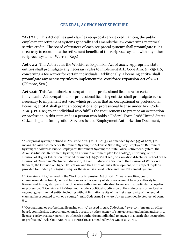# **GENERAL, AGENCY NOT SPECIFIED**

<span id="page-27-0"></span>**\*Act 711:** This Act defines and clarifies reciprocal service credit among the public employment retirement systems generally and amends the law concerning reciprocal service credit. The board of trustees of each reciprocal system<sup>6</sup> shall promulgate rules necessary to coordinate the retirement benefits of the reciprocal system with any other reciprocal system. (Warren, Rep.)

**Act 725:** This Act creates the Workforce Expansion Act of 2021. Appropriate state entities shall promulgate any necessary rules to implement Ark. Code Ann. § 4-25-110, concerning a fee waiver for certain individuals. Additionally, a licensing entity <sup>7</sup> shall promulgate any necessary rules to implement the Workforce Expansion Act of 2021. (Gilmore, Sen.)

Act 746: This Act authorizes occupational or professional licensure for certain individuals. All occupational or professional licensing entities shall promulgate rules necessary to implement Act 746, which provides that an occupational or professional licensing entity<sup>8</sup> shall grant an occupational or professional license under Ark. Code Ann. § 17-1-109 to an individual who fulfills the requirements to practice an occupation or profession in this state and is a person who holds a Federal Form I-766 United States Citizenship and Immigration Services-issued Employment Authorization Document,

 $\overline{a}$ 

 $6$  "Reciprocal system," defined in Ark. Code Ann.  $\S$  24-2-401(3), as amended by Act 545 of 2021,  $\S$  24, means the Arkansas Teacher Retirement System; the Arkansas State Highway Employees' Retirement System; the Arkansas Public Employees' Retirement System; the State Police Retirement System; the Arkansas Judicial Retirement System; an alternate retirement plan for a college, university, or the Division of Higher Education provided for under § 24-7-801 et seq., or a vocational-technical school or the Division of Career and Technical Education, the Adult Education Section of the Division of Workforce Services, the Division of Higher Education, and the Office of Skills Development, with respect to plans provided for under § 24-7-901 et seq.; or the Arkansas Local Police and Fire Retirement System.

<sup>7</sup> "Licensing entity," as used in the Workforce Expansion Act of 2021, "means an office, board, commission, department, council, bureau, or other agency of state government having authority to license, certify, register, permit, or otherwise authorize an individual to engage in a particular occupation or profession. 'Licensing entity' does not include a political subdivision of the state or any other local or regional governmental entity, including without limitation a city of the first class, a city of the second class, an incorporated town, or a county." Ark. Code Ann. § 17-4-103(2), as amended by Act 725 of 2021,  $§$  2.

<sup>8</sup> "Occupational or professional licensing entity," as used in Ark. Code Ann. § 17-1-109, "means an office, board, commission, department, council, bureau, or other agency of state government having authority to license, certify, register, permit, or otherwise authorize an individual to engage in a particular occupation or profession." Ark. Code Ann.  $\S 17-1-109(a)(2)$ , as amended by Act 746 of 2021,  $\S 1$ .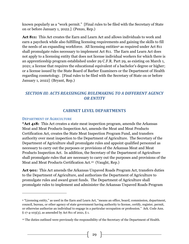known popularly as a "work permit." [Final rules to be filed with the Secretary of State on or before January 1, 2022.] (Penzo, Rep.)

**Act 811:** This Act creates the Earn and Learn Act and allows individuals to work and earn a paycheck while also fulfilling licensing requirements and gaining the skills to fill the needs of an expanding workforce. All licensing entities<sup>9</sup> as required under Act 811 shall promulgate rules necessary to implement Act 811. The Earn and Learn Act does not apply to a licensing entity that does not license individual workers for which there is an apprenticeship program established under 29 C.F.R. Part 29, as existing on March 1, 2021; a license that requires the educational equivalent of a bachelor's degree or higher; or a license issued by the State Board of Barber Examiners or the Department of Health regarding cosmetology. [Final rules to be filed with the Secretary of State on or before January 1, 2022] (Bryant, Rep.)

# <span id="page-28-1"></span><span id="page-28-0"></span>*SECTION III: ACTS REASSINGING RULEMAKING TO A DIFFERENT AGENCY OR ENTITY*

## **CABINET LEVEL DEPARTMENTS**

## <span id="page-28-2"></span>**DEPARTMENT OF AGRICULTURE**

 $\overline{a}$ 

**\*Act 418:** This Act creates a state meat inspection program, amends the Arkansas Meat and Meat Products Inspection Act, amends the Meat and Meat Products Certification Act, creates the State Meat Inspection Program Fund, and transfers authority over meat inspection to the Department of Agriculture. The Secretary of the Department of Agriculture shall promulgate rules and appoint qualified personnel as necessary to carry out the purposes or provisions of the Arkansas Meat and Meat Products Inspection Act. In addition, the Secretary of the Department of Agriculture shall promulgate rules that are necessary to carry out the purposes and provisions of the Meat and Meat Products Certification Act.10 (Vaught, Rep.)

**Act 901:** This Act amends the Arkansas Unpaved Roads Program Act, transfers duties to the Department of Agriculture, and authorizes the Department of Agriculture to promulgate rules and award grant funds. The Department of Agriculture shall promulgate rules to implement and administer the Arkansas Unpaved Roads Program

<sup>9</sup> "Licensing entity," as used in the Earn and Learn Act, "means an office, board, commission, department, council, bureau, or other agency of state government having authority to license, certify, register, permit, or otherwise authorize an individual to engage in a particular occupation or profession." Ark. Code Ann. § 17-4-103(3), as amended by Act 811 of 2021, § 1.

<sup>&</sup>lt;sup>10</sup> The duties outlined were previously the responsibility of the Secretary of the Department of Health.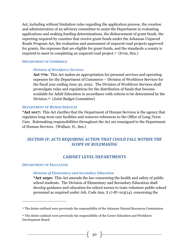Act, including without limitation rules regarding the application process, the creation and administration of an advisory committee to assist the Department in evaluating applications and making funding determinations, the disbursement of grant funds, the reporting required by counties that receive grant funds under the Arkansas Unpaved Roads Program Act, the evaluation and assessment of unpaved road projects approved for grants, the expenses that are eligible for grant funds, and the standards a county is required to meet in completing an unpaved road project.<sup>11</sup> (Irvin, Sen.)

#### <span id="page-29-1"></span><span id="page-29-0"></span>**DEPARTMENT OF COMMERCE**

#### *Division of Workforce Services*

**Act 770:** This Act makes an appropriation for personal services and operating expenses for the Department of Commerce – Division of Workforce Services for the fiscal year ending June 30, 2022. The Division of Workforce Services shall promulgate rules and regulations for the distribution of funds that become available for Adult Education in accordance with criteria to be determined by the Division.12 (Joint Budget Committee)

#### <span id="page-29-2"></span>**DEPARTMENT OF HUMAN SERVICES**

**\*Act 1017:** This Act clarifies that the Department of Human Services is the agency that regulates long-term care facilities and removes references to the Office of Long-Term Care. Rulemaking responsibilities throughout the Act are reassigned to the Department of Human Services. (Wallace, D., Sen.)

# <span id="page-29-4"></span><span id="page-29-3"></span>*SECTION IV: ACTS REQUIRING ACTION THAT COULD FALL WITHIN THE SCOPE OF RULEMAKING*

## **CABINET LEVEL DEPARTMENTS**

#### <span id="page-29-6"></span><span id="page-29-5"></span>**DEPARTMENT OF EDUCATION**

 $\overline{a}$ 

#### *Division of Elementary and Secondary Education*

**\*Act 1050:** This Act amends the law concerning the health and safety of public school students. The Division of Elementary and Secondary Education shall develop guidance and education for school nurses to train volunteer public school personnel as required under Ark. Code Ann. § 17-87-103(14), concerning the

<sup>&</sup>lt;sup>11</sup> The duties outlined were previously the responsibility of the Arkansas Natural Resources Commission.

<sup>12</sup> The duties outlined were previously the responsibility of the Career Education and Workforce Development Board.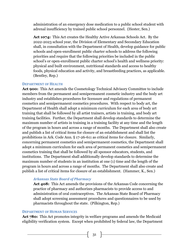administration of an emergency dose medication to a public school student with adrenal insufficiency by trained public school personnel. (Hester, Sen.)

**Act 1074:** This Act creates the Healthy Active Arkansas Schools Act. By the 2022-2023 school year, the Division of Elementary and Secondary Education shall, in consultation with the Department of Health, develop guidance for public schools and open-enrollment public charter schools to address the following priorities and require that the following priorities be included in the public school's or open-enrollment public charter school's health and wellness priority: physical and built environment, nutritional standards and access to healthy foods, physical education and activity, and breastfeeding practices, as applicable. (Bentley, Rep.)

#### <span id="page-30-0"></span>**DEPARTMENT OF HEALTH**

**Act 900:** This Act amends the Cosmetology Technical Advisory Committee to include members from the permanent and semipermanent cosmetic industry and the body art industry and establishes procedures for licensure and regulations of permanent cosmetics and semipermanent cosmetics procedures. With respect to body art, the Department of Health shall adopt a minimum curriculum for each area of body art training that shall be followed by all artist trainers, artists in training, and body art training facilities. Further, the Department shall develop standards to determine the maximum number of artists in training in a training facility at any time and the length of the program in hours and across a range of months. The Department shall also create and publish a list of critical items for closure of an establishment and shall list the prohibitions in Ark. Code Ann. § 17-26-611 as critical items for closure. Similarly, concerning permanent cosmetics and semipermanent cosmetics, the Department shall adopt a minimum curriculum for each area of permanent cosmetics and semipermanent cosmetics training that shall be followed by all sponsor educators, students, and institutions. The Department shall additionally develop standards to determine the maximum number of students in an institution at one (1) time and the length of the program in hours and across a range of months. The Department shall also create and publish a list of critical items for closure of an establishment. (Hammer, K., Sen.)

#### <span id="page-30-1"></span>*Arkansas State Board of Pharmacy*

**Act 408:** This Act amends the provisions of the Arkansas Code concerning the practice of pharmacy and authorizes pharmacists to provide access to and administration of oral contraceptives. The Arkansas State Board of Pharmacy shall adopt screening assessment procedures and questionnaires to be used by pharmacists throughout the state. (Pilkington, Rep.)

#### <span id="page-30-2"></span>**DEPARTMENT OF HUMAN SERVICES**

**Act 780:** This Act promotes integrity in welfare programs and amends the Medicaid eligibility verification system. Except when prohibited by federal law, the Department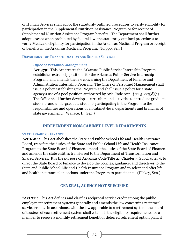of Human Services shall adopt the statutorily outlined procedures to verify eligibility for participation in the Supplemental Nutrition Assistance Program or for receipt of Supplemental Nutrition Assistance Program benefits. The Department shall further adopt, except when prohibited by federal law, the statutorily outlined procedures to verify Medicaid eligibility for participation in the Arkansas Medicaid Program or receipt of benefits in the Arkansas Medicaid Program. (Flippo, Sen.)

#### <span id="page-31-1"></span><span id="page-31-0"></span>**DEPARTMENT OF TRANSFORMATION AND SHARED SERVICES**

#### *Office of Personnel Management*

**Act 379:** This Act creates the Arkansas Public Service Internship Program, establishes extra help positions for the Arkansas Public Service Internship Program, and amends the law concerning the Department of Finance and Administration Internship Program. The Office of Personnel Management shall issue a policy establishing the Program and shall issue a policy for a state agency's use of a pool position authorized by Ark. Code Ann.  $\S 21$ -5-225(d)(1). The Office shall further develop a curriculum and activities to introduce graduate students and undergraduate students participating in the Program to the responsibilities and operations of all cabinet-level departments and branches of state government. (Wallace, D., Sen.)

## **INDEPENDENT NON-CABINET LEVEL DEPARTMENTS**

#### <span id="page-31-3"></span><span id="page-31-2"></span>**STATE BOARD OF FINANCE**

**Act 1004:** This Act abolishes the State and Public School Life and Health Insurance Board, transfers the duties of the State and Public School Life and Health Insurance Program to the State Board of Finance, amends the duties of the State Board of Finance, and amends the state entities transferred to the Department of Transformation and Shared Services. It is the purpose of Arkansas Code Title 21, Chapter 5, Subchapter 4, to direct the State Board of Finance to develop the policies, guidance, and directives to the State and Public School Life and Health Insurance Program and to select and offer life and health insurance plan options under the Program to participants. (Hickey, Sen.)

# **GENERAL, AGENCY NOT SPECIFIED**

<span id="page-31-4"></span>**\*Act 711:** This Act defines and clarifies reciprocal service credit among the public employment retirement systems generally and amends the law concerning reciprocal service credit. In accordance with the law applicable to a retirement system, the board of trustees of each retirement system shall establish the eligibility requirements for a member to receive a monthly retirement benefit or deferred retirement option plan, if